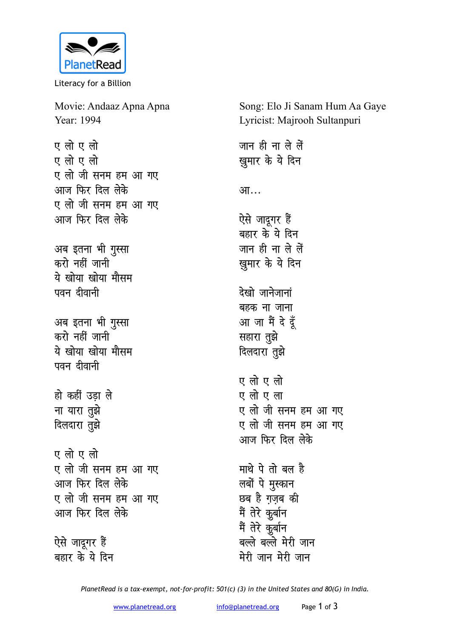

Literacy for a Billion

Movie: Andaaz Apna Apna Year: 1994

**एलो** एलो ए लो ए लो ए लो जी सनम हम आ गए <u>आज फिर दिल लेके</u> ए लो जी सनम हम आ गए <u>आज फिर दिल लेके</u>

अब इतना भी गुस्सा करो नहीं जानी ये खोया खोया मौसम पवन दीवानी

अब इतना भी गुस्सा करो नहीं जानी <u>ये खोया खोया मौसम</u> पवन दीवानी

हो कहीं उड़ा ले <u>ना यारा तु</u>झे **दिलदारा** तुझे

**ए** लो ए लो ए लो जी सनम हम आ गए आज फिर दिल लेके ए लो जी सनम हम आ गए <u>आज फिर दिल लेके</u>

ऐसे जादूगर हैं बहार के ये दिन Song: Elo Ji Sanam Hum Aa Gaye Lyricist: Majrooh Sultanpuri

जान ही ना ले लें **ख़ुमार के ये दिन** आ… ऐसे जादूगर हैं बहार के ये दिन <u>जान ही ना ले लें</u> **ख्रुमार के ये दिन देखो** जानेजानां बहक ना जाना आ जा मैं दे दूँ **सहारा** तुझे <u>दिलदारा तु</u>झे **ए** लो ए लो ए लो ए ला ए लो जी सनम हम आ गए ए लो जी सनम हम आ गए आज फिर दिल लेके **माथे पे** तो बल है लबों पे मुस्कान **छब** है गजब की मैं तेरे कुर्बान मैं तेरे कुर्बान बल्ले बल्ले मेरी जान मेरी जान मेरी जान

*PlanetRead is a tax-exempt, not-for-profit: 501(c) (3) in the United States and 80(G) in India.*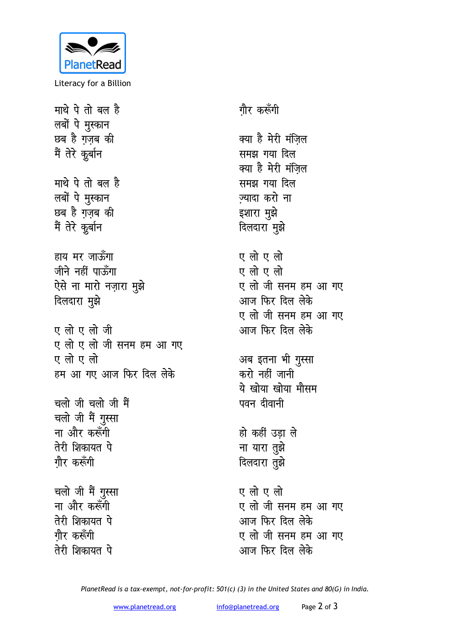

Literacy for a Billion

माथे पे तो बल है लबों पे मुस्कान छब है ग़ज़ब की मैं तेरे कुर्बान माथे पे तो बल है लबों पे मुस्कान छब है ग़ज़ब की मैं तेरे कुर्बान हाय मर जाऊँगा जीने नहीं पाऊँगा ऐसे ना मारो नज़ारा मुझे दिलदारा मुझे एलोएलोजी ए लो ए लो जी सनम हम आ गए एलोएलो हम आ गए आज फिर दिल लेके चलो जी चलो जी मैं चलो जी मैं गुस्सा ना और करूँगी तेरी शिकायत पे गौर करूँगी चलो जी मैं गुस्सा ना और करूँगी तेरी शिकायत पे गौर करूँगी तेरी शिकायत पे

गौर करूँगी क्या है मेरी मंज़िल समझ गया दिल क्या है मेरी मंज़िल समझ गया दिल ज्यादा करो ना इशारा मुझे दिलदारा मुझे एलो एलो एलो एलो ए लो जी सनम हम आ गए आज फिर दिल लेके ए लो जी सनम हम आ गए आज फिर दिल लेके अब इतना भी गुस्सा करो नहीं जानी ये खोया खोया मौसम पवन दीवानी हो कहीं उडा ले ना यारा तुझे दिलदारा तुझे ए लो ए लो ए लो जी सनम हम आ गए आज फिर दिल लेके ए लो जी सनम हम आ गए आज फिर दिल लेके

PlanetRead is a tax-exempt, not-for-profit: 501(c) (3) in the United States and 80(G) in India.